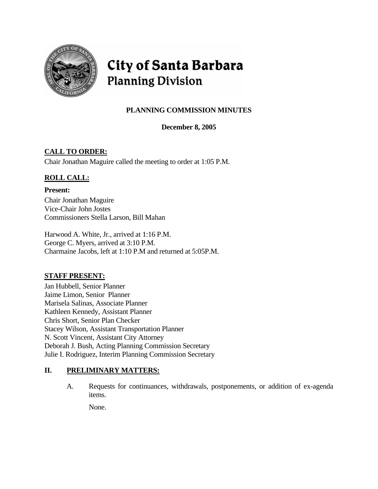

# City of Santa Barbara **Planning Division**

# **PLANNING COMMISSION MINUTES**

**December 8, 2005** 

# **CALL TO ORDER:**

Chair Jonathan Maguire called the meeting to order at 1:05 P.M.

# **ROLL CALL:**

**Present:**  Chair Jonathan Maguire Vice-Chair John Jostes Commissioners Stella Larson, Bill Mahan

Harwood A. White, Jr., arrived at 1:16 P.M. George C. Myers, arrived at 3:10 P.M. Charmaine Jacobs, left at 1:10 P.M and returned at 5:05P.M.

# **STAFF PRESENT:**

Jan Hubbell, Senior Planner Jaime Limon, Senior Planner Marisela Salinas, Associate Planner Kathleen Kennedy, Assistant Planner Chris Short, Senior Plan Checker Stacey Wilson, Assistant Transportation Planner N. Scott Vincent, Assistant City Attorney Deborah J. Bush, Acting Planning Commission Secretary Julie I. Rodriguez, Interim Planning Commission Secretary

# **II. PRELIMINARY MATTERS:**

A. Requests for continuances, withdrawals, postponements, or addition of ex-agenda items.

None.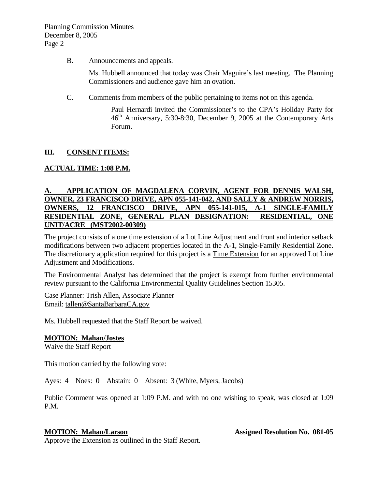B. Announcements and appeals.

Ms. Hubbell announced that today was Chair Maguire's last meeting. The Planning Commissioners and audience gave him an ovation.

C. Comments from members of the public pertaining to items not on this agenda.

Paul Hernardi invited the Commissioner's to the CPA's Holiday Party for  $46<sup>th</sup>$  Anniversary, 5:30-8:30, December 9, 2005 at the Contemporary Arts Forum.

#### **III. CONSENT ITEMS:**

### **ACTUAL TIME: 1:08 P.M.**

#### **A. APPLICATION OF MAGDALENA CORVIN, AGENT FOR DENNIS WALSH, OWNER, 23 FRANCISCO DRIVE, APN 055-141-042, AND SALLY & ANDREW NORRIS, OWNERS, 12 FRANCISCO DRIVE, APN 055-141-015, A-1 SINGLE-FAMILY RESIDENTIAL ZONE, GENERAL PLAN DESIGNATION: RESIDENTIAL, ONE UNIT/ACRE (MST2002-00309)**

The project consists of a one time extension of a Lot Line Adjustment and front and interior setback modifications between two adjacent properties located in the A-1, Single-Family Residential Zone. The discretionary application required for this project is a Time Extension for an approved Lot Line Adjustment and Modifications.

The Environmental Analyst has determined that the project is exempt from further environmental review pursuant to the California Environmental Quality Guidelines Section 15305.

Case Planner: Trish Allen, Associate Planner Email: [tallen@SantaBarbaraCA.gov](mailto:tallen@SantaBarbaraCA.gov)

Ms. Hubbell requested that the Staff Report be waived.

#### **MOTION: Mahan/Jostes**

Waive the Staff Report

This motion carried by the following vote:

Ayes: 4 Noes: 0 Abstain: 0 Absent: 3 (White, Myers, Jacobs)

Public Comment was opened at 1:09 P.M. and with no one wishing to speak, was closed at 1:09 P.M.

**MOTION: Mahan/Larson Assigned Resolution No. 081-05** 

Approve the Extension as outlined in the Staff Report.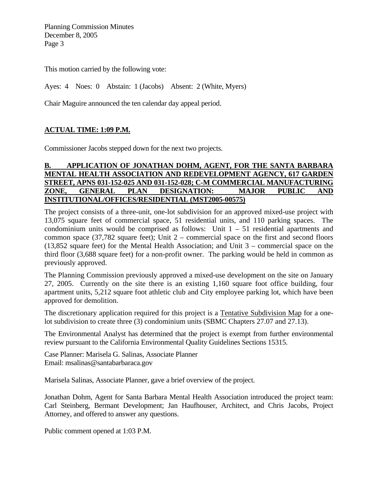This motion carried by the following vote:

Ayes: 4 Noes: 0 Abstain: 1 (Jacobs) Absent: 2 (White, Myers)

Chair Maguire announced the ten calendar day appeal period.

### **ACTUAL TIME: 1:09 P.M.**

Commissioner Jacobs stepped down for the next two projects.

#### **B. APPLICATION OF JONATHAN DOHM, AGENT, FOR THE SANTA BARBARA MENTAL HEALTH ASSOCIATION AND REDEVELOPMENT AGENCY, 617 GARDEN STREET, APNS 031-152-025 AND 031-152-028; C-M COMMERCIAL MANUFACTURING ZONE, GENERAL PLAN DESIGNATION: MAJOR PUBLIC AND INSTITUTIONAL/OFFICES/RESIDENTIAL (MST2005-00575)**

The project consists of a three-unit, one-lot subdivision for an approved mixed-use project with 13,075 square feet of commercial space, 51 residential units, and 110 parking spaces. The condominium units would be comprised as follows: Unit  $1 - 51$  residential apartments and common space (37,782 square feet); Unit 2 – commercial space on the first and second floors (13,852 square feet) for the Mental Health Association; and Unit 3 – commercial space on the third floor (3,688 square feet) for a non-profit owner. The parking would be held in common as previously approved.

The Planning Commission previously approved a mixed-use development on the site on January 27, 2005. Currently on the site there is an existing 1,160 square foot office building, four apartment units, 5,212 square foot athletic club and City employee parking lot, which have been approved for demolition.

The discretionary application required for this project is a Tentative Subdivision Map for a onelot subdivision to create three (3) condominium units (SBMC Chapters 27.07 and 27.13).

The Environmental Analyst has determined that the project is exempt from further environmental review pursuant to the California Environmental Quality Guidelines Sections 15315.

Case Planner: Marisela G. Salinas, Associate Planner Email: msalinas@santabarbaraca.gov

Marisela Salinas, Associate Planner, gave a brief overview of the project.

Jonathan Dohm, Agent for Santa Barbara Mental Health Association introduced the project team: Carl Steinberg, Bermant Development; Jan Haufhouser, Architect, and Chris Jacobs, Project Attorney, and offered to answer any questions.

Public comment opened at 1:03 P.M.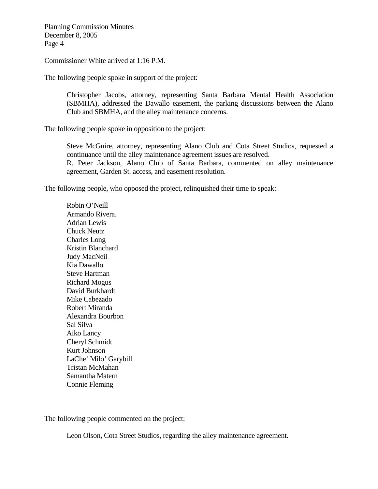Commissioner White arrived at 1:16 P.M.

The following people spoke in support of the project:

Christopher Jacobs, attorney, representing Santa Barbara Mental Health Association (SBMHA), addressed the Dawallo easement, the parking discussions between the Alano Club and SBMHA, and the alley maintenance concerns.

The following people spoke in opposition to the project:

Steve McGuire, attorney, representing Alano Club and Cota Street Studios, requested a continuance until the alley maintenance agreement issues are resolved. R. Peter Jackson, Alano Club of Santa Barbara, commented on alley maintenance agreement, Garden St. access, and easement resolution.

The following people, who opposed the project, relinquished their time to speak:

Robin O'Neill Armando Rivera. Adrian Lewis Chuck Neutz Charles Long Kristin Blanchard Judy MacNeil Kia Dawallo Steve Hartman Richard Mogus David Burkhardt Mike Cabezado Robert Miranda Alexandra Bourbon Sal Silva Aiko Lancy Cheryl Schmidt Kurt Johnson LaChe' Milo' Garybill Tristan McMahan Samantha Matern Connie Fleming

The following people commented on the project:

Leon Olson, Cota Street Studios, regarding the alley maintenance agreement.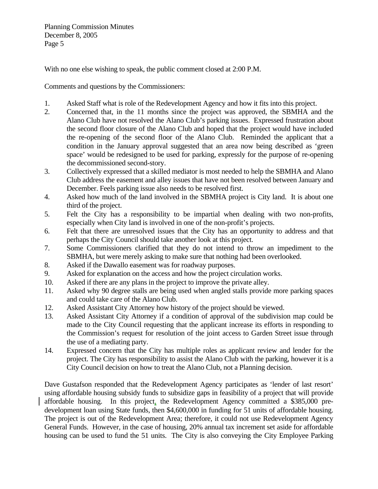With no one else wishing to speak, the public comment closed at 2:00 P.M.

Comments and questions by the Commissioners:

- 1. Asked Staff what is role of the Redevelopment Agency and how it fits into this project.
- 2. Concerned that, in the 11 months since the project was approved, the SBMHA and the Alano Club have not resolved the Alano Club's parking issues. Expressed frustration about the second floor closure of the Alano Club and hoped that the project would have included the re-opening of the second floor of the Alano Club. Reminded the applicant that a condition in the January approval suggested that an area now being described as 'green space' would be redesigned to be used for parking, expressly for the purpose of re-opening the decommissioned second-story.
- 3. Collectively expressed that a skilled mediator is most needed to help the SBMHA and Alano Club address the easement and alley issues that have not been resolved between January and December. Feels parking issue also needs to be resolved first.
- 4. Asked how much of the land involved in the SBMHA project is City land. It is about one third of the project.
- 5. Felt the City has a responsibility to be impartial when dealing with two non-profits, especially when City land is involved in one of the non-profit's projects.
- 6. Felt that there are unresolved issues that the City has an opportunity to address and that perhaps the City Council should take another look at this project.
- 7. Some Commissioners clarified that they do not intend to throw an impediment to the SBMHA, but were merely asking to make sure that nothing had been overlooked.
- 8. Asked if the Dawallo easement was for roadway purposes.
- 9. Asked for explanation on the access and how the project circulation works.
- 10. Asked if there are any plans in the project to improve the private alley.
- 11. Asked why 90 degree stalls are being used when angled stalls provide more parking spaces and could take care of the Alano Club.
- 12. Asked Assistant City Attorney how history of the project should be viewed.
- 13. Asked Assistant City Attorney if a condition of approval of the subdivision map could be made to the City Council requesting that the applicant increase its efforts in responding to the Commission's request for resolution of the joint access to Garden Street issue through the use of a mediating party.
- 14. Expressed concern that the City has multiple roles as applicant review and lender for the project. The City has responsibility to assist the Alano Club with the parking, however it is a City Council decision on how to treat the Alano Club, not a Planning decision.

Dave Gustafson responded that the Redevelopment Agency participates as 'lender of last resort' using affordable housing subsidy funds to subsidize gaps in feasibility of a project that will provide affordable housing. In this project, the Redevelopment Agency committed a \$385,000 predevelopment loan using State funds, then \$4,600,000 in funding for 51 units of affordable housing. The project is out of the Redevelopment Area; therefore, it could not use Redevelopment Agency General Funds. However, in the case of housing, 20% annual tax increment set aside for affordable housing can be used to fund the 51 units. The City is also conveying the City Employee Parking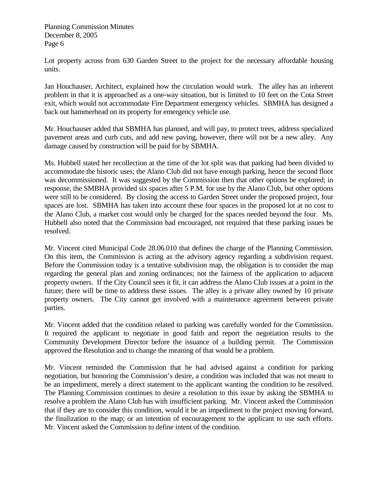Lot property across from 630 Garden Street to the project for the necessary affordable housing units.

Jan Houchauser, Architect, explained how the circulation would work. The alley has an inherent problem in that it is approached as a one-way situation, but is limited to 10 feet on the Cota Street exit, which would not accommodate Fire Department emergency vehicles. SBMHA has designed a back out hammerhead on its property for emergency vehicle use.

Mr. Houchauser added that SBMHA has planned, and will pay, to protect trees, address specialized pavement areas and curb cuts, and add new paving, however, there will not be a new alley. Any damage caused by construction will be paid for by SBMHA.

Ms. Hubbell stated her recollection at the time of the lot split was that parking had been divided to accommodate the historic uses; the Alano Club did not have enough parking, hence the second floor was decommissioned. It was suggested by the Commission then that other options be explored; in response, the SMBHA provided six spaces after 5 P.M. for use by the Alano Club, but other options were still to be considered. By closing the access to Garden Street under the proposed project, four spaces are lost. SBMHA has taken into account these four spaces in the proposed lot at no cost to the Alano Club, a market cost would only be charged for the spaces needed beyond the four. Ms. Hubbell also noted that the Commission had encouraged, not required that these parking issues be resolved.

Mr. Vincent cited Municipal Code 28.06.010 that defines the charge of the Planning Commission. On this item, the Commission is acting as the advisory agency regarding a subdivision request. Before the Commission today is a tentative subdivision map, the obligation is to consider the map regarding the general plan and zoning ordinances; not the fairness of the application to adjacent property owners. If the City Council sees it fit, it can address the Alano Club issues at a point in the future; there will be time to address these issues. The alley is a private alley owned by 10 private property owners. The City cannot get involved with a maintenance agreement between private parties.

Mr. Vincent added that the condition related to parking was carefully worded for the Commission. It required the applicant to negotiate in good faith and report the negotiation results to the Community Development Director before the issuance of a building permit. The Commission approved the Resolution and to change the meaning of that would be a problem.

Mr. Vincent reminded the Commission that he had advised against a condition for parking negotiation, but honoring the Commission's desire, a condition was included that was not meant to be an impediment, merely a direct statement to the applicant wanting the condition to be resolved. The Planning Commission continues to desire a resolution to this issue by asking the SBMHA to resolve a problem the Alano Club has with insufficient parking. Mr. Vincent asked the Commission that if they are to consider this condition, would it be an impediment to the project moving forward, the finalization to the map; or an intention of encouragement to the applicant to use such efforts. Mr. Vincent asked the Commission to define intent of the condition.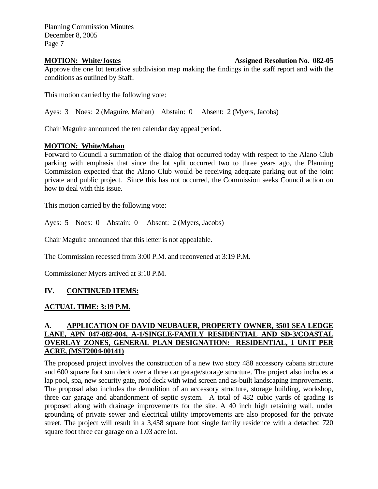#### **MOTION: White/Jostes Assigned Resolution No. 082-05**

Approve the one lot tentative subdivision map making the findings in the staff report and with the conditions as outlined by Staff.

This motion carried by the following vote:

Ayes: 3 Noes: 2 (Maguire, Mahan) Abstain: 0 Absent: 2 (Myers, Jacobs)

Chair Maguire announced the ten calendar day appeal period.

#### **MOTION: White/Mahan**

Forward to Council a summation of the dialog that occurred today with respect to the Alano Club parking with emphasis that since the lot split occurred two to three years ago, the Planning Commission expected that the Alano Club would be receiving adequate parking out of the joint private and public project. Since this has not occurred, the Commission seeks Council action on how to deal with this issue.

This motion carried by the following vote:

Ayes: 5 Noes: 0 Abstain: 0 Absent: 2 (Myers, Jacobs)

Chair Maguire announced that this letter is not appealable.

The Commission recessed from 3:00 P.M. and reconvened at 3:19 P.M.

Commissioner Myers arrived at 3:10 P.M.

### **IV. CONTINUED ITEMS:**

#### **ACTUAL TIME: 3:19 P.M.**

### **A. APPLICATION OF DAVID NEUBAUER, PROPERTY OWNER, 3501 SEA LEDGE LANE, APN 047-082-004, A-1/SINGLE-FAMILY RESIDENTIAL AND SD-3/COASTAL OVERLAY ZONES, GENERAL PLAN DESIGNATION: RESIDENTIAL, 1 UNIT PER ACRE, (MST2004-00141)**

The proposed project involves the construction of a new two story 488 accessory cabana structure and 600 square foot sun deck over a three car garage/storage structure. The project also includes a lap pool, spa, new security gate, roof deck with wind screen and as-built landscaping improvements. The proposal also includes the demolition of an accessory structure, storage building, workshop, three car garage and abandonment of septic system. A total of 482 cubic yards of grading is proposed along with drainage improvements for the site. A 40 inch high retaining wall, under grounding of private sewer and electrical utility improvements are also proposed for the private street. The project will result in a 3,458 square foot single family residence with a detached 720 square foot three car garage on a 1.03 acre lot.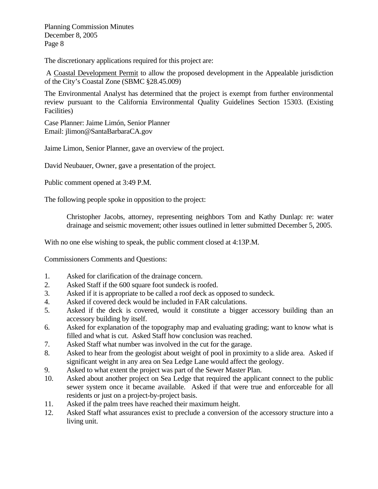The discretionary applications required for this project are:

 A Coastal Development Permit to allow the proposed development in the Appealable jurisdiction of the City's Coastal Zone (SBMC §28.45.009)

The Environmental Analyst has determined that the project is exempt from further environmental review pursuant to the California Environmental Quality Guidelines Section 15303. (Existing Facilities)

Case Planner: Jaime Limón, Senior Planner Email: jlimon@SantaBarbaraCA.gov

Jaime Limon, Senior Planner, gave an overview of the project.

David Neubauer, Owner, gave a presentation of the project.

Public comment opened at 3:49 P.M.

The following people spoke in opposition to the project:

Christopher Jacobs, attorney, representing neighbors Tom and Kathy Dunlap: re: water drainage and seismic movement; other issues outlined in letter submitted December 5, 2005.

With no one else wishing to speak, the public comment closed at 4:13P.M.

Commissioners Comments and Questions:

- 1. Asked for clarification of the drainage concern.
- 2. Asked Staff if the 600 square foot sundeck is roofed.
- 3. Asked if it is appropriate to be called a roof deck as opposed to sundeck.
- 4. Asked if covered deck would be included in FAR calculations.
- 5. Asked if the deck is covered, would it constitute a bigger accessory building than an accessory building by itself.
- 6. Asked for explanation of the topography map and evaluating grading; want to know what is filled and what is cut. Asked Staff how conclusion was reached.
- 7. Asked Staff what number was involved in the cut for the garage.
- 8. Asked to hear from the geologist about weight of pool in proximity to a slide area. Asked if significant weight in any area on Sea Ledge Lane would affect the geology.
- 9. Asked to what extent the project was part of the Sewer Master Plan.
- 10. Asked about another project on Sea Ledge that required the applicant connect to the public sewer system once it became available. Asked if that were true and enforceable for all residents or just on a project-by-project basis.
- 11. Asked if the palm trees have reached their maximum height.
- 12. Asked Staff what assurances exist to preclude a conversion of the accessory structure into a living unit.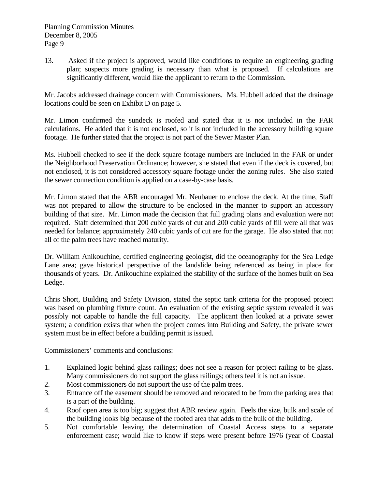13. Asked if the project is approved, would like conditions to require an engineering grading plan; suspects more grading is necessary than what is proposed. If calculations are significantly different, would like the applicant to return to the Commission.

Mr. Jacobs addressed drainage concern with Commissioners. Ms. Hubbell added that the drainage locations could be seen on Exhibit D on page 5.

Mr. Limon confirmed the sundeck is roofed and stated that it is not included in the FAR calculations. He added that it is not enclosed, so it is not included in the accessory building square footage. He further stated that the project is not part of the Sewer Master Plan.

Ms. Hubbell checked to see if the deck square footage numbers are included in the FAR or under the Neighborhood Preservation Ordinance; however, she stated that even if the deck is covered, but not enclosed, it is not considered accessory square footage under the zoning rules. She also stated the sewer connection condition is applied on a case-by-case basis.

Mr. Limon stated that the ABR encouraged Mr. Neubauer to enclose the deck. At the time, Staff was not prepared to allow the structure to be enclosed in the manner to support an accessory building of that size. Mr. Limon made the decision that full grading plans and evaluation were not required. Staff determined that 200 cubic yards of cut and 200 cubic yards of fill were all that was needed for balance; approximately 240 cubic yards of cut are for the garage. He also stated that not all of the palm trees have reached maturity.

Dr. William Anikouchine, certified engineering geologist, did the oceanography for the Sea Ledge Lane area; gave historical perspective of the landslide being referenced as being in place for thousands of years. Dr. Anikouchine explained the stability of the surface of the homes built on Sea Ledge.

Chris Short, Building and Safety Division, stated the septic tank criteria for the proposed project was based on plumbing fixture count. An evaluation of the existing septic system revealed it was possibly not capable to handle the full capacity. The applicant then looked at a private sewer system; a condition exists that when the project comes into Building and Safety, the private sewer system must be in effect before a building permit is issued.

Commissioners' comments and conclusions:

- 1. Explained logic behind glass railings; does not see a reason for project railing to be glass. Many commissioners do not support the glass railings; others feel it is not an issue.
- 2. Most commissioners do not support the use of the palm trees.
- 3. Entrance off the easement should be removed and relocated to be from the parking area that is a part of the building.
- 4. Roof open area is too big; suggest that ABR review again. Feels the size, bulk and scale of the building looks big because of the roofed area that adds to the bulk of the building.
- 5. Not comfortable leaving the determination of Coastal Access steps to a separate enforcement case; would like to know if steps were present before 1976 (year of Coastal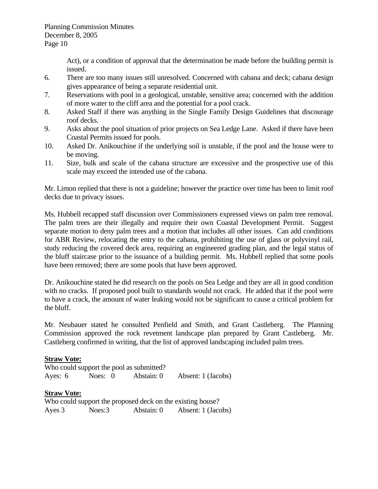Act), or a condition of approval that the determination be made before the building permit is issued.

- 6. There are too many issues still unresolved. Concerned with cabana and deck; cabana design gives appearance of being a separate residential unit.
- 7. Reservations with pool in a geological, unstable, sensitive area; concerned with the addition of more water to the cliff area and the potential for a pool crack.
- 8. Asked Staff if there was anything in the Single Family Design Guidelines that discourage roof decks.
- 9. Asks about the pool situation of prior projects on Sea Ledge Lane. Asked if there have been Coastal Permits issued for pools.
- 10. Asked Dr. Anikouchine if the underlying soil is unstable, if the pool and the house were to be moving.
- 11. Size, bulk and scale of the cabana structure are excessive and the prospective use of this scale may exceed the intended use of the cabana.

Mr. Limon replied that there is not a guideline; however the practice over time has been to limit roof decks due to privacy issues.

Ms. Hubbell recapped staff discussion over Commissioners expressed views on palm tree removal. The palm trees are their illegally and require their own Coastal Development Permit. Suggest separate motion to deny palm trees and a motion that includes all other issues. Can add conditions for ABR Review, relocating the entry to the cabana, prohibiting the use of glass or polyvinyl rail, study reducing the covered deck area, requiring an engineered grading plan, and the legal status of the bluff staircase prior to the issuance of a building permit. Ms. Hubbell replied that some pools have been removed; there are some pools that have been approved.

Dr. Anikouchine stated he did research on the pools on Sea Ledge and they are all in good condition with no cracks. If proposed pool built to standards would not crack. He added that if the pool were to have a crack, the amount of water leaking would not be significant to cause a critical problem for the bluff.

Mr. Neubauer stated he consulted Penfield and Smith, and Grant Castleberg. The Planning Commission approved the rock revetment landscape plan prepared by Grant Castleberg. Mr. Castleberg confirmed in writing, that the list of approved landscaping included palm trees.

### **Straw Vote:**

| Who could support the pool as submitted? |  |         |  |            |                    |
|------------------------------------------|--|---------|--|------------|--------------------|
| Ayes: 6                                  |  | Noes: 0 |  | Abstain: 0 | Absent: 1 (Jacobs) |

### **Straw Vote:**

Who could support the proposed deck on the existing house? Ayes 3 Noes:3 Abstain: 0 Absent: 1 (Jacobs)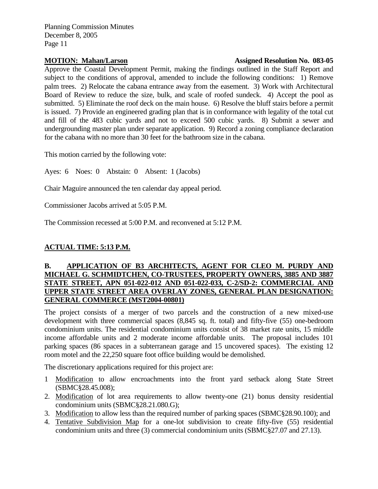#### **MOTION: Mahan/Larson Motion Assigned Resolution No. 083-05**

Approve the Coastal Development Permit, making the findings outlined in the Staff Report and subject to the conditions of approval, amended to include the following conditions: 1) Remove palm trees. 2) Relocate the cabana entrance away from the easement. 3) Work with Architectural Board of Review to reduce the size, bulk, and scale of roofed sundeck. 4) Accept the pool as submitted. 5) Eliminate the roof deck on the main house. 6) Resolve the bluff stairs before a permit is issued. 7) Provide an engineered grading plan that is in conformance with legality of the total cut and fill of the 483 cubic yards and not to exceed 500 cubic yards. 8) Submit a sewer and undergrounding master plan under separate application. 9) Record a zoning compliance declaration for the cabana with no more than 30 feet for the bathroom size in the cabana.

This motion carried by the following vote:

Ayes: 6 Noes: 0 Abstain: 0 Absent: 1 (Jacobs)

Chair Maguire announced the ten calendar day appeal period.

Commissioner Jacobs arrived at 5:05 P.M.

The Commission recessed at 5:00 P.M. and reconvened at 5:12 P.M.

## **ACTUAL TIME: 5:13 P.M.**

#### **B. APPLICATION OF B3 ARCHITECTS, AGENT FOR CLEO M. PURDY AND MICHAEL G. SCHMIDTCHEN, CO-TRUSTEES, PROPERTY OWNERS, 3885 AND 3887 STATE STREET, APN 051-022-012 AND 051-022-033, C-2/SD-2: COMMERCIAL AND UPPER STATE STREET AREA OVERLAY ZONES, GENERAL PLAN DESIGNATION: GENERAL COMMERCE (MST2004-00801)**

The project consists of a merger of two parcels and the construction of a new mixed-use development with three commercial spaces (8,845 sq. ft. total) and fifty-five (55) one-bedroom condominium units. The residential condominium units consist of 38 market rate units, 15 middle income affordable units and 2 moderate income affordable units. The proposal includes 101 parking spaces (86 spaces in a subterranean garage and 15 uncovered spaces). The existing 12 room motel and the 22,250 square foot office building would be demolished.

The discretionary applications required for this project are:

- 1 Modification to allow encroachments into the front yard setback along State Street (SBMC§28.45.008);
- 2. Modification of lot area requirements to allow twenty-one (21) bonus density residential condominium units (SBMC§28.21.080.G);
- 3. Modification to allow less than the required number of parking spaces (SBMC§28.90.100); and
- 4. Tentative Subdivision Map for a one-lot subdivision to create fifty-five (55) residential condominium units and three (3) commercial condominium units (SBMC§27.07 and 27.13).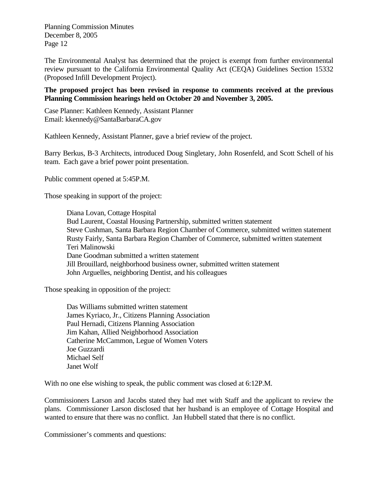The Environmental Analyst has determined that the project is exempt from further environmental review pursuant to the California Environmental Quality Act (CEQA) Guidelines Section 15332 (Proposed Infill Development Project).

#### **The proposed project has been revised in response to comments received at the previous Planning Commission hearings held on October 20 and November 3, 2005.**

Case Planner: Kathleen Kennedy, Assistant Planner Email: [kkennedy@SantaBarbaraCA.gov](mailto:kkennedy@SantaBarbaraCA.gov) 

Kathleen Kennedy, Assistant Planner, gave a brief review of the project.

Barry Berkus, B-3 Architects, introduced Doug Singletary, John Rosenfeld, and Scott Schell of his team. Each gave a brief power point presentation.

Public comment opened at 5:45P.M.

Those speaking in support of the project:

Diana Lovan, Cottage Hospital Bud Laurent, Coastal Housing Partnership, submitted written statement Steve Cushman, Santa Barbara Region Chamber of Commerce, submitted written statement Rusty Fairly, Santa Barbara Region Chamber of Commerce, submitted written statement Teri Malinowski Dane Goodman submitted a written statement Jill Brouillard, neighborhood business owner, submitted written statement John Arguelles, neighboring Dentist, and his colleagues

Those speaking in opposition of the project:

Das Williams submitted written statement James Kyriaco, Jr., Citizens Planning Association Paul Hernadi, Citizens Planning Association Jim Kahan, Allied Neighborhood Association Catherine McCammon, Legue of Women Voters Joe Guzzardi Michael Self Janet Wolf

With no one else wishing to speak, the public comment was closed at 6:12P.M.

Commissioners Larson and Jacobs stated they had met with Staff and the applicant to review the plans. Commissioner Larson disclosed that her husband is an employee of Cottage Hospital and wanted to ensure that there was no conflict. Jan Hubbell stated that there is no conflict.

Commissioner's comments and questions: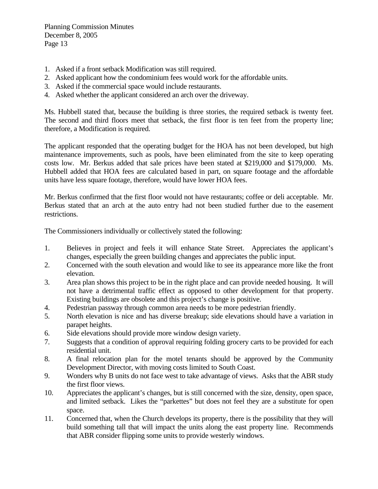- 1. Asked if a front setback Modification was still required.
- 2. Asked applicant how the condominium fees would work for the affordable units.
- 3. Asked if the commercial space would include restaurants.
- 4. Asked whether the applicant considered an arch over the driveway.

Ms. Hubbell stated that, because the building is three stories, the required setback is twenty feet. The second and third floors meet that setback, the first floor is ten feet from the property line; therefore, a Modification is required.

The applicant responded that the operating budget for the HOA has not been developed, but high maintenance improvements, such as pools, have been eliminated from the site to keep operating costs low. Mr. Berkus added that sale prices have been stated at \$219,000 and \$179,000. Ms. Hubbell added that HOA fees are calculated based in part, on square footage and the affordable units have less square footage, therefore, would have lower HOA fees.

Mr. Berkus confirmed that the first floor would not have restaurants; coffee or deli acceptable. Mr. Berkus stated that an arch at the auto entry had not been studied further due to the easement restrictions.

The Commissioners individually or collectively stated the following:

- 1. Believes in project and feels it will enhance State Street. Appreciates the applicant's changes, especially the green building changes and appreciates the public input.
- 2. Concerned with the south elevation and would like to see its appearance more like the front elevation.
- 3. Area plan shows this project to be in the right place and can provide needed housing. It will not have a detrimental traffic effect as opposed to other development for that property. Existing buildings are obsolete and this project's change is positive.
- 4. Pedestrian passway through common area needs to be more pedestrian friendly.
- 5. North elevation is nice and has diverse breakup; side elevations should have a variation in parapet heights.
- 6. Side elevations should provide more window design variety.
- 7. Suggests that a condition of approval requiring folding grocery carts to be provided for each residential unit.
- 8. A final relocation plan for the motel tenants should be approved by the Community Development Director, with moving costs limited to South Coast.
- 9. Wonders why B units do not face west to take advantage of views. Asks that the ABR study the first floor views.
- 10. Appreciates the applicant's changes, but is still concerned with the size, density, open space, and limited setback. Likes the "parkettes" but does not feel they are a substitute for open space.
- 11. Concerned that, when the Church develops its property, there is the possibility that they will build something tall that will impact the units along the east property line. Recommends that ABR consider flipping some units to provide westerly windows.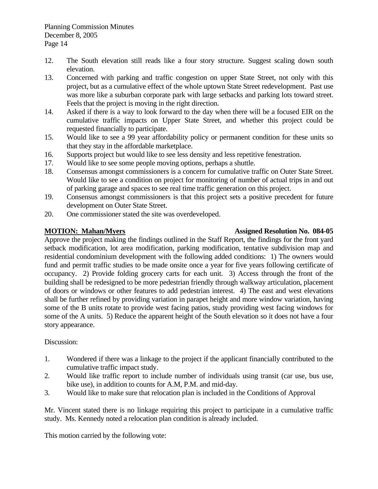- 12. The South elevation still reads like a four story structure. Suggest scaling down south elevation.
- 13. Concerned with parking and traffic congestion on upper State Street, not only with this project, but as a cumulative effect of the whole uptown State Street redevelopment. Past use was more like a suburban corporate park with large setbacks and parking lots toward street. Feels that the project is moving in the right direction.
- 14. Asked if there is a way to look forward to the day when there will be a focused EIR on the cumulative traffic impacts on Upper State Street, and whether this project could be requested financially to participate.
- 15. Would like to see a 99 year affordability policy or permanent condition for these units so that they stay in the affordable marketplace.
- 16. Supports project but would like to see less density and less repetitive fenestration.
- 17. Would like to see some people moving options, perhaps a shuttle.
- 18. Consensus amongst commissioners is a concern for cumulative traffic on Outer State Street. Would like to see a condition on project for monitoring of number of actual trips in and out of parking garage and spaces to see real time traffic generation on this project.
- 19. Consensus amongst commissioners is that this project sets a positive precedent for future development on Outer State Street.
- 20. One commissioner stated the site was overdeveloped.

### **MOTION: Mahan/Myers Assigned Resolution No. 084-05**

Approve the project making the findings outlined in the Staff Report, the findings for the front yard setback modification, lot area modification, parking modification, tentative subdivision map and residential condominium development with the following added conditions: 1) The owners would fund and permit traffic studies to be made onsite once a year for five years following certificate of occupancy. 2) Provide folding grocery carts for each unit. 3) Access through the front of the building shall be redesigned to be more pedestrian friendly through walkway articulation, placement of doors or windows or other features to add pedestrian interest. 4) The east and west elevations shall be further refined by providing variation in parapet height and more window variation, having some of the B units rotate to provide west facing patios, study providing west facing windows for some of the A units. 5) Reduce the apparent height of the South elevation so it does not have a four story appearance.

### Discussion:

- 1. Wondered if there was a linkage to the project if the applicant financially contributed to the cumulative traffic impact study.
- 2. Would like traffic report to include number of individuals using transit (car use, bus use, bike use), in addition to counts for A.M, P.M. and mid-day.
- 3. Would like to make sure that relocation plan is included in the Conditions of Approval

Mr. Vincent stated there is no linkage requiring this project to participate in a cumulative traffic study. Ms. Kennedy noted a relocation plan condition is already included.

This motion carried by the following vote: